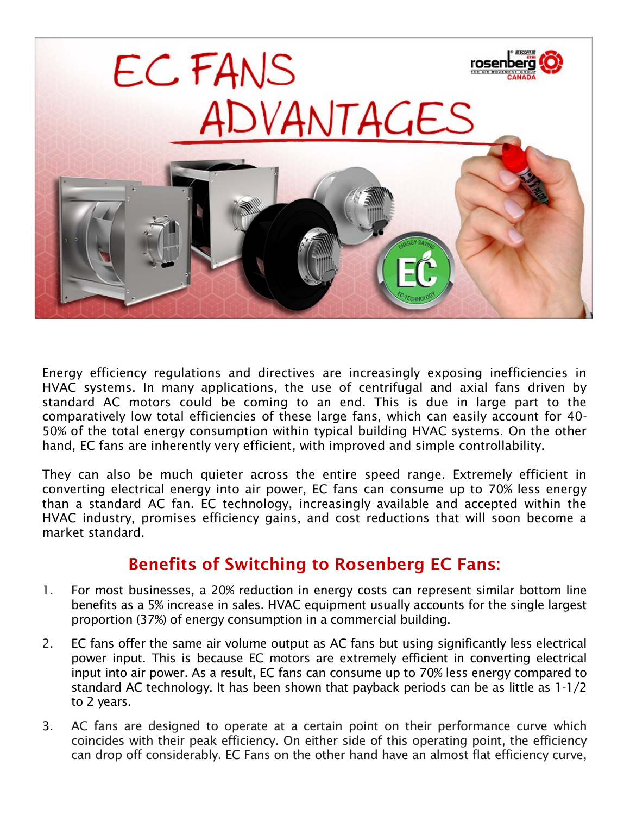

Energy efficiency regulations and directives are increasingly exposing inefficiencies in HVAC systems. In many applications, the use of centrifugal and axial fans driven by standard AC motors could be coming to an end. This is due in large part to the comparatively low total efficiencies of these large fans, which can easily account for 40- 50% of the total energy consumption within typical building HVAC systems. On the other hand, EC fans are inherently very efficient, with improved and simple controllability.

They can also be much quieter across the entire speed range. Extremely efficient in converting electrical energy into air power, EC fans can consume up to 70% less energy than a standard AC fan. EC technology, increasingly available and accepted within the HVAC industry, promises efficiency gains, and cost reductions that will soon become a market standard.

## Benefits of Switching to Rosenberg EC Fans:

- 1. For most businesses, a 20% reduction in energy costs can represent similar bottom line benefits as a 5% increase in sales. HVAC equipment usually accounts for the single largest proportion (37%) of energy consumption in a commercial building.
- 2. EC fans offer the same air volume output as AC fans but using significantly less electrical power input. This is because EC motors are extremely efficient in converting electrical input into air power. As a result, EC fans can consume up to 70% less energy compared to standard AC technology. It has been shown that payback periods can be as little as 1-1/2 to 2 years.
- 3. AC fans are designed to operate at a certain point on their performance curve which coincides with their peak efficiency. On either side of this operating point, the efficiency can drop off considerably. EC Fans on the other hand have an almost flat efficiency curve,